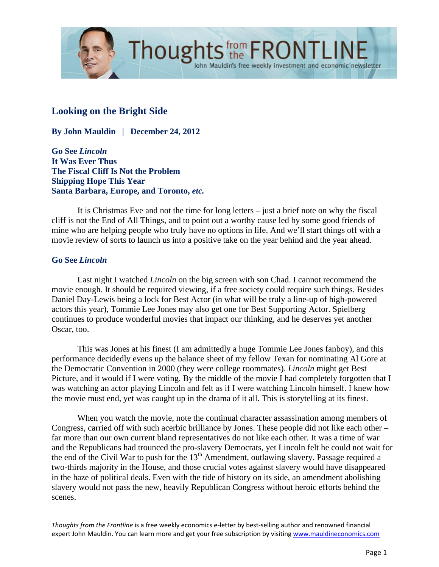

# **Looking on the Bright Side**

**By John Mauldin | December 24, 2012** 

**Go See** *Lincoln* **It Was Ever Thus The Fiscal Cliff Is Not the Problem Shipping Hope This Year Santa Barbara, Europe, and Toronto,** *etc.*

 It is Christmas Eve and not the time for long letters – just a brief note on why the fiscal cliff is not the End of All Things, and to point out a worthy cause led by some good friends of mine who are helping people who truly have no options in life. And we'll start things off with a movie review of sorts to launch us into a positive take on the year behind and the year ahead.

## **Go See** *Lincoln*

 Last night I watched *Lincoln* on the big screen with son Chad. I cannot recommend the movie enough. It should be required viewing, if a free society could require such things. Besides Daniel Day-Lewis being a lock for Best Actor (in what will be truly a line-up of high-powered actors this year), Tommie Lee Jones may also get one for Best Supporting Actor. Spielberg continues to produce wonderful movies that impact our thinking, and he deserves yet another Oscar, too.

This was Jones at his finest (I am admittedly a huge Tommie Lee Jones fanboy), and this performance decidedly evens up the balance sheet of my fellow Texan for nominating Al Gore at the Democratic Convention in 2000 (they were college roommates). *Lincoln* might get Best Picture, and it would if I were voting. By the middle of the movie I had completely forgotten that I was watching an actor playing Lincoln and felt as if I were watching Lincoln himself. I knew how the movie must end, yet was caught up in the drama of it all. This is storytelling at its finest.

 When you watch the movie, note the continual character assassination among members of Congress, carried off with such acerbic brilliance by Jones. These people did not like each other – far more than our own current bland representatives do not like each other. It was a time of war and the Republicans had trounced the pro-slavery Democrats, yet Lincoln felt he could not wait for the end of the Civil War to push for the  $13<sup>th</sup>$  Amendment, outlawing slavery. Passage required a two-thirds majority in the House, and those crucial votes against slavery would have disappeared in the haze of political deals. Even with the tide of history on its side, an amendment abolishing slavery would not pass the new, heavily Republican Congress without heroic efforts behind the scenes.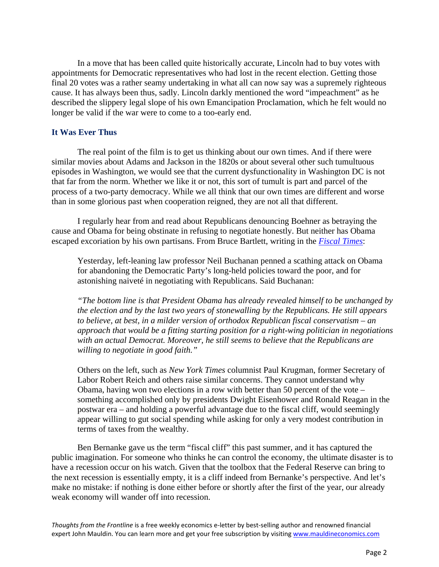In a move that has been called quite historically accurate, Lincoln had to buy votes with appointments for Democratic representatives who had lost in the recent election. Getting those final 20 votes was a rather seamy undertaking in what all can now say was a supremely righteous cause. It has always been thus, sadly. Lincoln darkly mentioned the word "impeachment" as he described the slippery legal slope of his own Emancipation Proclamation, which he felt would no longer be valid if the war were to come to a too-early end.

## **It Was Ever Thus**

 The real point of the film is to get us thinking about our own times. And if there were similar movies about Adams and Jackson in the 1820s or about several other such tumultuous episodes in Washington, we would see that the current dysfunctionality in Washington DC is not that far from the norm. Whether we like it or not, this sort of tumult is part and parcel of the process of a two-party democracy. While we all think that our own times are different and worse than in some glorious past when cooperation reigned, they are not all that different.

 I regularly hear from and read about Republicans denouncing Boehner as betraying the cause and Obama for being obstinate in refusing to negotiate honestly. But neither has Obama escaped excoriation by his own partisans. From Bruce Bartlett, writing in the *[Fiscal Times](http://www.thefiscaltimes.com/Columns/2012/12/21/How-Democrats-Became-Liberal-Republicans.aspx#page1)*:

Yesterday, left-leaning law professor Neil Buchanan penned a scathing attack on Obama for abandoning the Democratic Party's long-held policies toward the poor, and for astonishing naiveté in negotiating with Republicans. Said Buchanan:

*"The bottom line is that President Obama has already revealed himself to be unchanged by the election and by the last two years of stonewalling by the Republicans. He still appears to believe, at best, in a milder version of orthodox Republican fiscal conservatism – an approach that would be a fitting starting position for a right-wing politician in negotiations with an actual Democrat. Moreover, he still seems to believe that the Republicans are willing to negotiate in good faith."*

Others on the left, such as *New York Times* columnist Paul Krugman, former Secretary of Labor Robert Reich and others raise similar concerns. They cannot understand why Obama, having won two elections in a row with better than 50 percent of the vote – something accomplished only by presidents Dwight Eisenhower and Ronald Reagan in the postwar era – and holding a powerful advantage due to the fiscal cliff, would seemingly appear willing to gut social spending while asking for only a very modest contribution in terms of taxes from the wealthy.

 Ben Bernanke gave us the term "fiscal cliff" this past summer, and it has captured the public imagination. For someone who thinks he can control the economy, the ultimate disaster is to have a recession occur on his watch. Given that the toolbox that the Federal Reserve can bring to the next recession is essentially empty, it is a cliff indeed from Bernanke's perspective. And let's make no mistake: if nothing is done either before or shortly after the first of the year, our already weak economy will wander off into recession.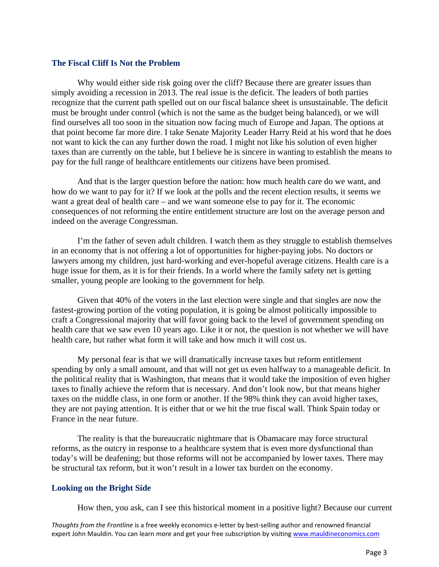#### **The Fiscal Cliff Is Not the Problem**

Why would either side risk going over the cliff? Because there are greater issues than simply avoiding a recession in 2013. The real issue is the deficit. The leaders of both parties recognize that the current path spelled out on our fiscal balance sheet is unsustainable. The deficit must be brought under control (which is not the same as the budget being balanced), or we will find ourselves all too soon in the situation now facing much of Europe and Japan. The options at that point become far more dire. I take Senate Majority Leader Harry Reid at his word that he does not want to kick the can any further down the road. I might not like his solution of even higher taxes than are currently on the table, but I believe he is sincere in wanting to establish the means to pay for the full range of healthcare entitlements our citizens have been promised.

 And that is the larger question before the nation: how much health care do we want, and how do we want to pay for it? If we look at the polls and the recent election results, it seems we want a great deal of health care – and we want someone else to pay for it. The economic consequences of not reforming the entire entitlement structure are lost on the average person and indeed on the average Congressman.

 I'm the father of seven adult children. I watch them as they struggle to establish themselves in an economy that is not offering a lot of opportunities for higher-paying jobs. No doctors or lawyers among my children, just hard-working and ever-hopeful average citizens. Health care is a huge issue for them, as it is for their friends. In a world where the family safety net is getting smaller, young people are looking to the government for help.

Given that 40% of the voters in the last election were single and that singles are now the fastest-growing portion of the voting population, it is going be almost politically impossible to craft a Congressional majority that will favor going back to the level of government spending on health care that we saw even 10 years ago. Like it or not, the question is not whether we will have health care, but rather what form it will take and how much it will cost us.

 My personal fear is that we will dramatically increase taxes but reform entitlement spending by only a small amount, and that will not get us even halfway to a manageable deficit. In the political reality that is Washington, that means that it would take the imposition of even higher taxes to finally achieve the reform that is necessary. And don't look now, but that means higher taxes on the middle class, in one form or another. If the 98% think they can avoid higher taxes, they are not paying attention. It is either that or we hit the true fiscal wall. Think Spain today or France in the near future.

The reality is that the bureaucratic nightmare that is Obamacare may force structural reforms, as the outcry in response to a healthcare system that is even more dysfunctional than today's will be deafening; but those reforms will not be accompanied by lower taxes. There may be structural tax reform, but it won't result in a lower tax burden on the economy.

#### **Looking on the Bright Side**

How then, you ask, can I see this historical moment in a positive light? Because our current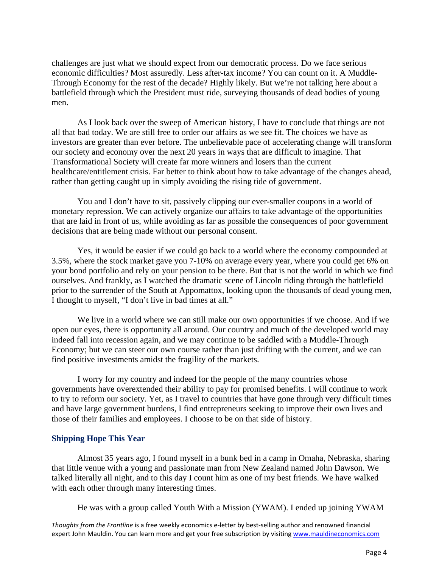challenges are just what we should expect from our democratic process. Do we face serious economic difficulties? Most assuredly. Less after-tax income? You can count on it. A Muddle-Through Economy for the rest of the decade? Highly likely. But we're not talking here about a battlefield through which the President must ride, surveying thousands of dead bodies of young men.

 As I look back over the sweep of American history, I have to conclude that things are not all that bad today. We are still free to order our affairs as we see fit. The choices we have as investors are greater than ever before. The unbelievable pace of accelerating change will transform our society and economy over the next 20 years in ways that are difficult to imagine. That Transformational Society will create far more winners and losers than the current healthcare/entitlement crisis. Far better to think about how to take advantage of the changes ahead, rather than getting caught up in simply avoiding the rising tide of government.

 You and I don't have to sit, passively clipping our ever-smaller coupons in a world of monetary repression. We can actively organize our affairs to take advantage of the opportunities that are laid in front of us, while avoiding as far as possible the consequences of poor government decisions that are being made without our personal consent.

 Yes, it would be easier if we could go back to a world where the economy compounded at 3.5%, where the stock market gave you 7-10% on average every year, where you could get 6% on your bond portfolio and rely on your pension to be there. But that is not the world in which we find ourselves. And frankly, as I watched the dramatic scene of Lincoln riding through the battlefield prior to the surrender of the South at Appomattox, looking upon the thousands of dead young men, I thought to myself, "I don't live in bad times at all."

 We live in a world where we can still make our own opportunities if we choose. And if we open our eyes, there is opportunity all around. Our country and much of the developed world may indeed fall into recession again, and we may continue to be saddled with a Muddle-Through Economy; but we can steer our own course rather than just drifting with the current, and we can find positive investments amidst the fragility of the markets.

 I worry for my country and indeed for the people of the many countries whose governments have overextended their ability to pay for promised benefits. I will continue to work to try to reform our society. Yet, as I travel to countries that have gone through very difficult times and have large government burdens, I find entrepreneurs seeking to improve their own lives and those of their families and employees. I choose to be on that side of history.

#### **Shipping Hope This Year**

 Almost 35 years ago, I found myself in a bunk bed in a camp in Omaha, Nebraska, sharing that little venue with a young and passionate man from New Zealand named John Dawson. We talked literally all night, and to this day I count him as one of my best friends. We have walked with each other through many interesting times.

He was with a group called Youth With a Mission (YWAM). I ended up joining YWAM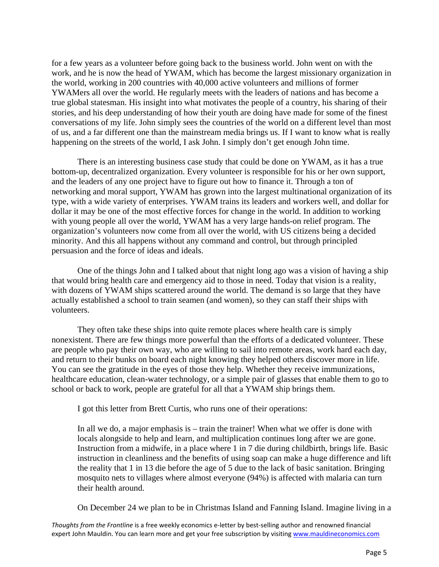for a few years as a volunteer before going back to the business world. John went on with the work, and he is now the head of YWAM, which has become the largest missionary organization in the world, working in 200 countries with 40,000 active volunteers and millions of former YWAMers all over the world. He regularly meets with the leaders of nations and has become a true global statesman. His insight into what motivates the people of a country, his sharing of their stories, and his deep understanding of how their youth are doing have made for some of the finest conversations of my life. John simply sees the countries of the world on a different level than most of us, and a far different one than the mainstream media brings us. If I want to know what is really happening on the streets of the world, I ask John. I simply don't get enough John time.

 There is an interesting business case study that could be done on YWAM, as it has a true bottom-up, decentralized organization. Every volunteer is responsible for his or her own support, and the leaders of any one project have to figure out how to finance it. Through a ton of networking and moral support, YWAM has grown into the largest multinational organization of its type, with a wide variety of enterprises. YWAM trains its leaders and workers well, and dollar for dollar it may be one of the most effective forces for change in the world. In addition to working with young people all over the world, YWAM has a very large hands-on relief program. The organization's volunteers now come from all over the world, with US citizens being a decided minority. And this all happens without any command and control, but through principled persuasion and the force of ideas and ideals.

 One of the things John and I talked about that night long ago was a vision of having a ship that would bring health care and emergency aid to those in need. Today that vision is a reality, with dozens of YWAM ships scattered around the world. The demand is so large that they have actually established a school to train seamen (and women), so they can staff their ships with volunteers.

 They often take these ships into quite remote places where health care is simply nonexistent. There are few things more powerful than the efforts of a dedicated volunteer. These are people who pay their own way, who are willing to sail into remote areas, work hard each day, and return to their bunks on board each night knowing they helped others discover more in life. You can see the gratitude in the eyes of those they help. Whether they receive immunizations, healthcare education, clean-water technology, or a simple pair of glasses that enable them to go to school or back to work, people are grateful for all that a YWAM ship brings them.

I got this letter from Brett Curtis, who runs one of their operations:

In all we do, a major emphasis is – train the trainer! When what we offer is done with locals alongside to help and learn, and multiplication continues long after we are gone. Instruction from a midwife, in a place where 1 in 7 die during childbirth, brings life. Basic instruction in cleanliness and the benefits of using soap can make a huge difference and lift the reality that 1 in 13 die before the age of 5 due to the lack of basic sanitation. Bringing mosquito nets to villages where almost everyone (94%) is affected with malaria can turn their health around.

On December 24 we plan to be in Christmas Island and Fanning Island. Imagine living in a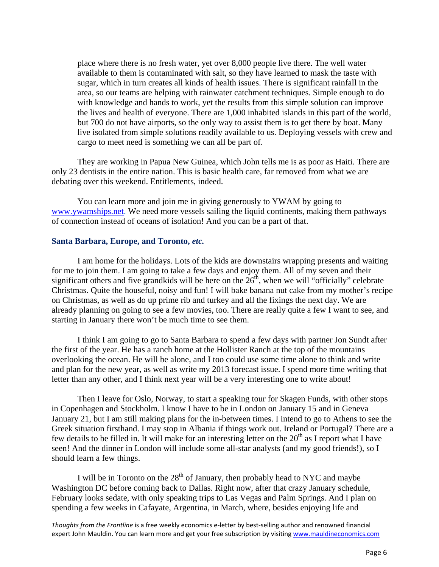place where there is no fresh water, yet over 8,000 people live there. The well water available to them is contaminated with salt, so they have learned to mask the taste with sugar, which in turn creates all kinds of health issues. There is significant rainfall in the area, so our teams are helping with rainwater catchment techniques. Simple enough to do with knowledge and hands to work, yet the results from this simple solution can improve the lives and health of everyone. There are 1,000 inhabited islands in this part of the world, but 700 do not have airports, so the only way to assist them is to get there by boat. Many live isolated from simple solutions readily available to us. Deploying vessels with crew and cargo to meet need is something we can all be part of.

 They are working in Papua New Guinea, which John tells me is as poor as Haiti. There are only 23 dentists in the entire nation. This is basic health care, far removed from what we are debating over this weekend. Entitlements, indeed.

 You can learn more and join me in giving generously to YWAM by going to [www.ywamships.net.](http://www.ywamships.net/) We need more vessels sailing the liquid continents, making them pathways of connection instead of oceans of isolation! And you can be a part of that.

#### **Santa Barbara, Europe, and Toronto,** *etc.*

 I am home for the holidays. Lots of the kids are downstairs wrapping presents and waiting for me to join them. I am going to take a few days and enjoy them. All of my seven and their significant others and five grandkids will be here on the  $26<sup>th</sup>$ , when we will "officially" celebrate Christmas. Quite the houseful, noisy and fun! I will bake banana nut cake from my mother's recipe on Christmas, as well as do up prime rib and turkey and all the fixings the next day. We are already planning on going to see a few movies, too. There are really quite a few I want to see, and starting in January there won't be much time to see them.

 I think I am going to go to Santa Barbara to spend a few days with partner Jon Sundt after the first of the year. He has a ranch home at the Hollister Ranch at the top of the mountains overlooking the ocean. He will be alone, and I too could use some time alone to think and write and plan for the new year, as well as write my 2013 forecast issue. I spend more time writing that letter than any other, and I think next year will be a very interesting one to write about!

 Then I leave for Oslo, Norway, to start a speaking tour for Skagen Funds, with other stops in Copenhagen and Stockholm. I know I have to be in London on January 15 and in Geneva January 21, but I am still making plans for the in-between times. I intend to go to Athens to see the Greek situation firsthand. I may stop in Albania if things work out. Ireland or Portugal? There are a few details to be filled in. It will make for an interesting letter on the  $20<sup>th</sup>$  as I report what I have seen! And the dinner in London will include some all-star analysts (and my good friends!), so I should learn a few things.

I will be in Toronto on the  $28<sup>th</sup>$  of January, then probably head to NYC and maybe Washington DC before coming back to Dallas. Right now, after that crazy January schedule, February looks sedate, with only speaking trips to Las Vegas and Palm Springs. And I plan on spending a few weeks in Cafayate, Argentina, in March, where, besides enjoying life and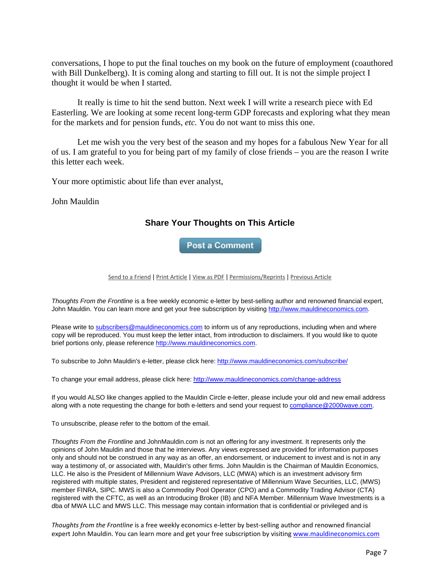conversations, I hope to put the final touches on my book on the future of employment (coauthored with Bill Dunkelberg). It is coming along and starting to fill out. It is not the simple project I thought it would be when I started.

 It really is time to hit the send button. Next week I will write a research piece with Ed Easterling. We are looking at some recent long-term GDP forecasts and exploring what they mean for the markets and for pension funds, *etc.* You do not want to miss this one.

 Let me wish you the very best of the season and my hopes for a fabulous New Year for all of us. I am grateful to you for being part of my family of close friends – you are the reason I write this letter each week.

Your more optimistic about life than ever analyst,

John Mauldin

# **Share Your Thoughts on This Article**

**Post a Comment** 

Send to a Friend | Print Article | View as PDF | Permissions/Reprints | Previous Article

*Thoughts From the Frontline* is a free weekly economic e-letter by best-selling author and renowned financial expert, John Mauldin. You can learn more and get your free subscription by visiting http://www.mauldineconomics.com.

Please write to subscribers@mauldineconomics.com to inform us of any reproductions, including when and where copy will be reproduced. You must keep the letter intact, from introduction to disclaimers. If you would like to quote brief portions only, please reference http://www.mauldineconomics.com.

To subscribe to John Mauldin's e-letter, please click here: http://www.mauldineconomics.com/subscribe/

To change your email address, please click here: http://www.mauldineconomics.com/change-address

If you would ALSO like changes applied to the Mauldin Circle e-letter, please include your old and new email address along with a note requesting the change for both e-letters and send your request to compliance@2000wave.com.

To unsubscribe, please refer to the bottom of the email.

*Thoughts From the Frontline* and JohnMauldin.com is not an offering for any investment. It represents only the opinions of John Mauldin and those that he interviews. Any views expressed are provided for information purposes only and should not be construed in any way as an offer, an endorsement, or inducement to invest and is not in any way a testimony of, or associated with, Mauldin's other firms. John Mauldin is the Chairman of Mauldin Economics, LLC. He also is the President of Millennium Wave Advisors, LLC (MWA) which is an investment advisory firm registered with multiple states, President and registered representative of Millennium Wave Securities, LLC, (MWS) member FINRA, SIPC. MWS is also a Commodity Pool Operator (CPO) and a Commodity Trading Advisor (CTA) registered with the CFTC, as well as an Introducing Broker (IB) and NFA Member. Millennium Wave Investments is a dba of MWA LLC and MWS LLC. This message may contain information that is confidential or privileged and is